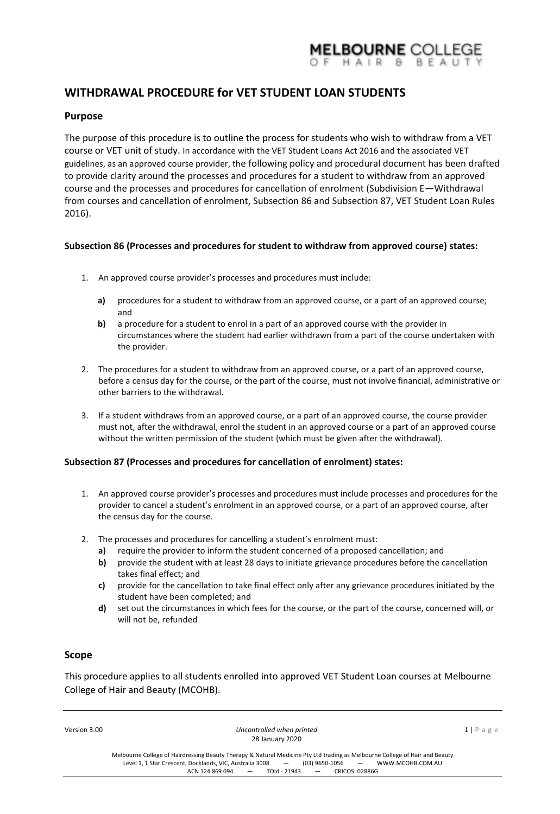# MELBOURNE COLLEGE

# **WITHDRAWAL PROCEDURE for VET STUDENT LOAN STUDENTS**

# **Purpose**

The purpose of this procedure is to outline the process for students who wish to withdraw from a VET course or VET unit of study. In accordance with the VET Student Loans Act 2016 and the associated VET guidelines, as an approved course provider, the following policy and procedural document has been drafted to provide clarity around the processes and procedures for a student to withdraw from an approved course and the processes and procedures for cancellation of enrolment (Subdivision E—Withdrawal from courses and cancellation of enrolment, Subsection 86 and Subsection 87, VET Student Loan Rules 2016).

#### **Subsection 86 (Processes and procedures for student to withdraw from approved course) states:**

- 1. An approved course provider's processes and procedures must include:
	- **a)** procedures for a student to withdraw from an approved course, or a part of an approved course; and
	- **b)** a procedure for a student to enrol in a part of an approved course with the provider in circumstances where the student had earlier withdrawn from a part of the course undertaken with the provider.
- 2. The procedures for a student to withdraw from an approved course, or a part of an approved course, before a census day for the course, or the part of the course, must not involve financial, administrative or other barriers to the withdrawal.
- 3. If a student withdraws from an approved course, or a part of an approved course, the course provider must not, after the withdrawal, enrol the student in an approved course or a part of an approved course without the written permission of the student (which must be given after the withdrawal).

#### **Subsection 87 (Processes and procedures for cancellation of enrolment) states:**

- 1. An approved course provider's processes and procedures must include processes and procedures for the provider to cancel a student's enrolment in an approved course, or a part of an approved course, after the census day for the course.
- 2. The processes and procedures for cancelling a student's enrolment must:
	- **a)** require the provider to inform the student concerned of a proposed cancellation; and
	- **b)** provide the student with at least 28 days to initiate grievance procedures before the cancellation takes final effect; and
	- **c)** provide for the cancellation to take final effect only after any grievance procedures initiated by the student have been completed; and
	- **d)** set out the circumstances in which fees for the course, or the part of the course, concerned will, or will not be, refunded

# **Scope**

This procedure applies to all students enrolled into approved VET Student Loan courses at Melbourne College of Hair and Beauty (MCOHB).

| Version 3.00 | Uncontrolled when printed<br>28 January 2020                                                                                                                                                                                                                                            | $1$   Page |
|--------------|-----------------------------------------------------------------------------------------------------------------------------------------------------------------------------------------------------------------------------------------------------------------------------------------|------------|
|              | Melbourne College of Hairdressing Beauty Therapy & Natural Medicine Pty Ltd trading as Melbourne College of Hair and Beauty<br>Level 1, 1 Star Crescent, Docklands, VIC, Australia 3008 -<br>(03) 9650-1056 - WWW.MCOHB.COM.AU<br>$ACN$ 124 869 094 $-$ TOId - 21943 $-$ CRICOS: 02886G |            |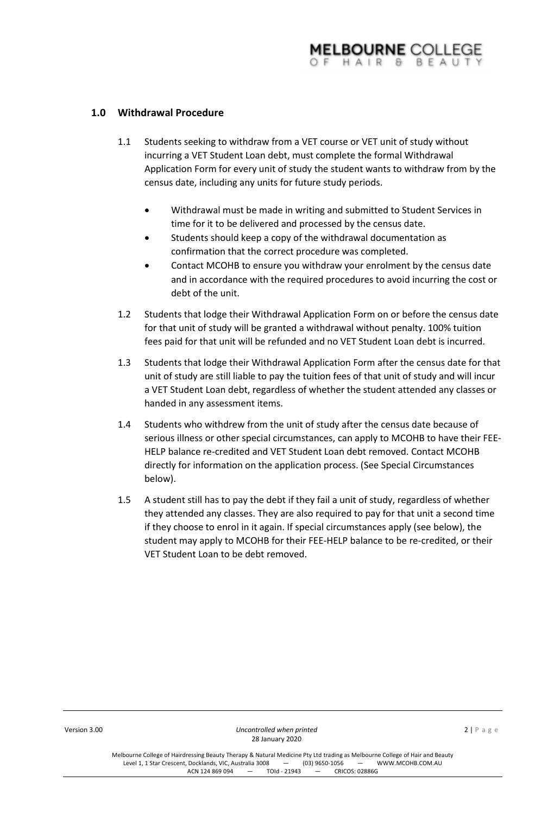# **1.0 Withdrawal Procedure**

- 1.1 Students seeking to withdraw from a VET course or VET unit of study without incurring a VET Student Loan debt, must complete the formal Withdrawal Application Form for every unit of study the student wants to withdraw from by the census date, including any units for future study periods.
	- Withdrawal must be made in writing and submitted to Student Services in time for it to be delivered and processed by the census date.
	- Students should keep a copy of the withdrawal documentation as confirmation that the correct procedure was completed.
	- Contact MCOHB to ensure you withdraw your enrolment by the census date and in accordance with the required procedures to avoid incurring the cost or debt of the unit.
- 1.2 Students that lodge their Withdrawal Application Form on or before the census date for that unit of study will be granted a withdrawal without penalty. 100% tuition fees paid for that unit will be refunded and no VET Student Loan debt is incurred.
- 1.3 Students that lodge their Withdrawal Application Form after the census date for that unit of study are still liable to pay the tuition fees of that unit of study and will incur a VET Student Loan debt, regardless of whether the student attended any classes or handed in any assessment items.
- 1.4 Students who withdrew from the unit of study after the census date because of serious illness or other special circumstances, can apply to MCOHB to have their FEE-HELP balance re-credited and VET Student Loan debt removed. Contact MCOHB directly for information on the application process. (See Special Circumstances below).
- 1.5 A student still has to pay the debt if they fail a unit of study, regardless of whether they attended any classes. They are also required to pay for that unit a second time if they choose to enrol in it again. If special circumstances apply (see below), the student may apply to MCOHB for their FEE-HELP balance to be re-credited, or their VET Student Loan to be debt removed.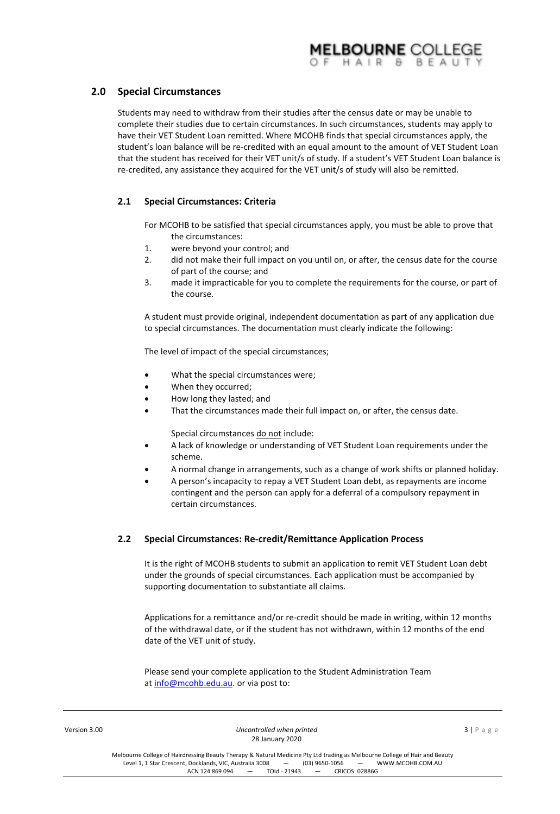# **2.0 Special Circumstances**

Students may need to withdraw from their studies after the census date or may be unable to complete their studies due to certain circumstances. In such circumstances, students may apply to have their VET Student Loan remitted. Where MCOHB finds that special circumstances apply, the student's loan balance will be re-credited with an equal amount to the amount of VET Student Loan that the student has received for their VET unit/s of study. If a student's VET Student Loan balance is re-credited, any assistance they acquired for the VET unit/s of study will also be remitted.

# **2.1 Special Circumstances: Criteria**

For MCOHB to be satisfied that special circumstances apply, you must be able to prove that the circumstances:

- 1. were beyond your control; and
- 2. did not make their full impact on you until on, or after, the census date for the course of part of the course; and
- 3. made it impracticable for you to complete the requirements for the course, or part of the course.

A student must provide original, independent documentation as part of any application due to special circumstances. The documentation must clearly indicate the following:

The level of impact of the special circumstances;

- What the special circumstances were;
- When they occurred;
- How long they lasted; and
- That the circumstances made their full impact on, or after, the census date.

Special circumstances do not include:

- A lack of knowledge or understanding of VET Student Loan requirements under the scheme.
- A normal change in arrangements, such as a change of work shifts or planned holiday.
- A person's incapacity to repay a VET Student Loan debt, as repayments are income contingent and the person can apply for a deferral of a compulsory repayment in certain circumstances.

#### **2.2 Special Circumstances: Re-credit/Remittance Application Process**

It is the right of MCOHB students to submit an application to remit VET Student Loan debt under the grounds of special circumstances. Each application must be accompanied by supporting documentation to substantiate all claims.

Applications for a remittance and/or re-credit should be made in writing, within 12 months of the withdrawal date, or if the student has not withdrawn, within 12 months of the end date of the VET unit of study.

Please send your complete application to the Student Administration Team

|              | The age center four complete application to the otagent rammou and nothing<br>at info@mcohb.edu.au. or via post to: |                          |
|--------------|---------------------------------------------------------------------------------------------------------------------|--------------------------|
| Version 3.00 | Uncontrolled when printed<br>28 January 2020                                                                        | $3   P \text{ a } g \in$ |

Melbourne College of Hairdressing Beauty Therapy & Natural Medicine Pty Ltd trading as Melbourne College of Hair and Beauty<br>Level 1. 1 Star Crescent. Docklands. VIC. Australia 3008 – (03) 9650-1056 – WWW.MCOHB.COM.AU Level 1, 1 Star Crescent, Docklands, VIC, Australia 3008 – (03) 9650-1056 – \<br>ACN 124 869 094 – TOId - 21943 – CRICOS: 02886G  $ACN$  124 869 094  $-$  TOId - 21943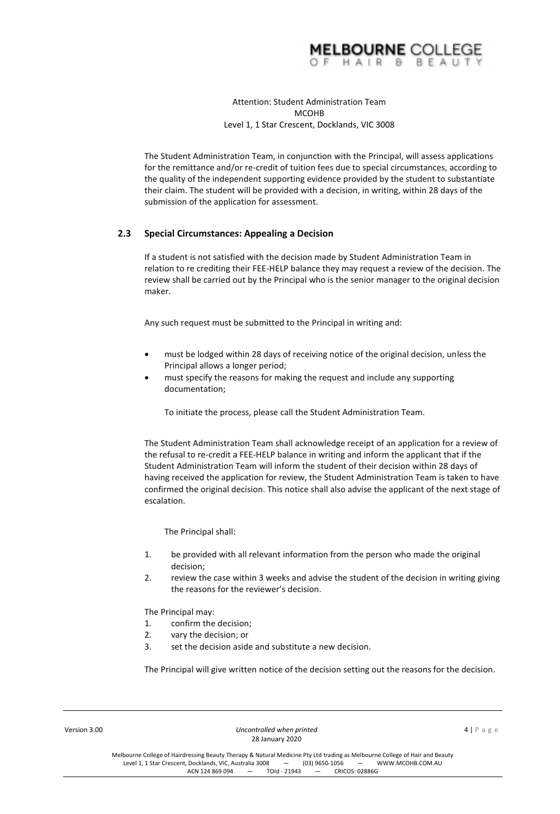

### Attention: Student Administration Team **MCOHB** Level 1, 1 Star Crescent, Docklands, VIC 3008

The Student Administration Team, in conjunction with the Principal, will assess applications for the remittance and/or re-credit of tuition fees due to special circumstances, according to the quality of the independent supporting evidence provided by the student to substantiate their claim. The student will be provided with a decision, in writing, within 28 days of the submission of the application for assessment.

## **2.3 Special Circumstances: Appealing a Decision**

If a student is not satisfied with the decision made by Student Administration Team in relation to re crediting their FEE-HELP balance they may request a review of the decision. The review shall be carried out by the Principal who is the senior manager to the original decision maker.

Any such request must be submitted to the Principal in writing and:

- must be lodged within 28 days of receiving notice of the original decision, unless the Principal allows a longer period;
- must specify the reasons for making the request and include any supporting documentation;

To initiate the process, please call the Student Administration Team.

The Student Administration Team shall acknowledge receipt of an application for a review of the refusal to re-credit a FEE-HELP balance in writing and inform the applicant that if the Student Administration Team will inform the student of their decision within 28 days of having received the application for review, the Student Administration Team is taken to have confirmed the original decision. This notice shall also advise the applicant of the next stage of escalation.

The Principal shall:

- 1. be provided with all relevant information from the person who made the original decision;
- 2. review the case within 3 weeks and advise the student of the decision in writing giving the reasons for the reviewer's decision.

The Principal may:

- 1. confirm the decision;
- 2. vary the decision; or
- 3. set the decision aside and substitute a new decision.

The Principal will give written notice of the decision setting out the reasons for the decision.

**Version 3.00 Uncontrolled when printed Uncontrolled when printed 4** | P a g e 28 January 2020

Melbourne College of Hairdressing Beauty Therapy & Natural Medicine Pty Ltd trading as Melbourne College of Hair and Beauty<br>Level 1. 1 Star Crescent. Docklands. VIC. Australia 3008 - (03) 9650-1056 - WWW.MCOHB.COM.AU Level 1, 1 Star Crescent, Docklands, VIC, Australia 3008 – (03) 9650-1056 – \<br>ACN 124 869 094 – TOId - 21943 – CRICOS: 02886G ACN 124 869 094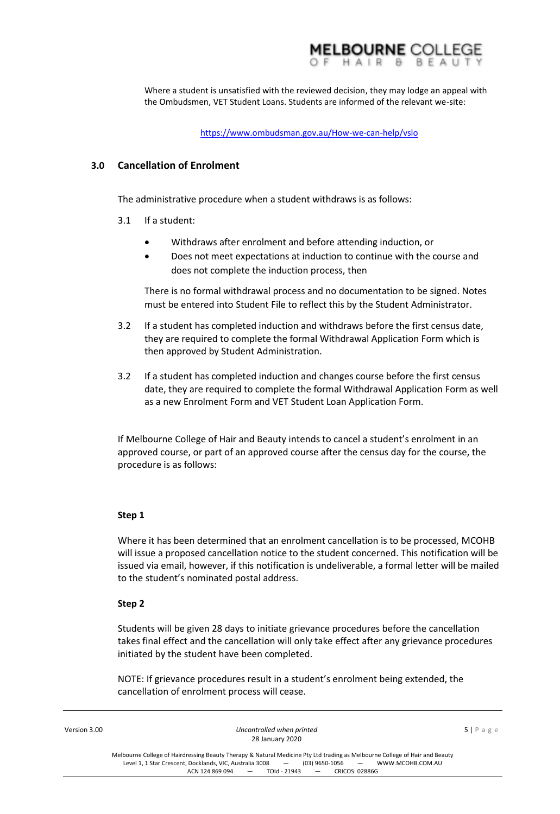

Where a student is unsatisfied with the reviewed decision, they may lodge an appeal with the Ombudsmen, VET Student Loans. Students are informed of the relevant we-site:

<https://www.ombudsman.gov.au/How-we-can-help/vslo>

## **3.0 Cancellation of Enrolment**

The administrative procedure when a student withdraws is as follows:

- 3.1 If a student:
	- Withdraws after enrolment and before attending induction, or
	- Does not meet expectations at induction to continue with the course and does not complete the induction process, then

There is no formal withdrawal process and no documentation to be signed. Notes must be entered into Student File to reflect this by the Student Administrator.

- 3.2 If a student has completed induction and withdraws before the first census date, they are required to complete the formal Withdrawal Application Form which is then approved by Student Administration.
- 3.2 If a student has completed induction and changes course before the first census date, they are required to complete the formal Withdrawal Application Form as well as a new Enrolment Form and VET Student Loan Application Form.

If Melbourne College of Hair and Beauty intends to cancel a student's enrolment in an approved course, or part of an approved course after the census day for the course, the procedure is as follows:

#### **Step 1**

Where it has been determined that an enrolment cancellation is to be processed, MCOHB will issue a proposed cancellation notice to the student concerned. This notification will be issued via email, however, if this notification is undeliverable, a formal letter will be mailed to the student's nominated postal address.

#### **Step 2**

Students will be given 28 days to initiate grievance procedures before the cancellation takes final effect and the cancellation will only take effect after any grievance procedures initiated by the student have been completed.

NOTE: If grievance procedures result in a student's enrolment being extended, the cancellation of enrolment process will cease.

| Version 3.00 | Uncontrolled when printed                                                                                                                                     | $5 P \text{ age}$ |
|--------------|---------------------------------------------------------------------------------------------------------------------------------------------------------------|-------------------|
|              | 28 January 2020                                                                                                                                               |                   |
|              | Melbourne College of Hairdressing Beauty Therapy & Natural Medicine Pty Ltd trading as Melbourne College of Hair and Beauty                                   |                   |
|              | Level 1, 1 Star Crescent, Docklands, VIC, Australia 3008 - (03) 9650-1056 - WWW.MCOHB.COM.AU<br>$ACN$ 124 869 094 $-$<br>$TOld - 21943 - -$<br>CRICOS: 02886G |                   |
|              |                                                                                                                                                               |                   |